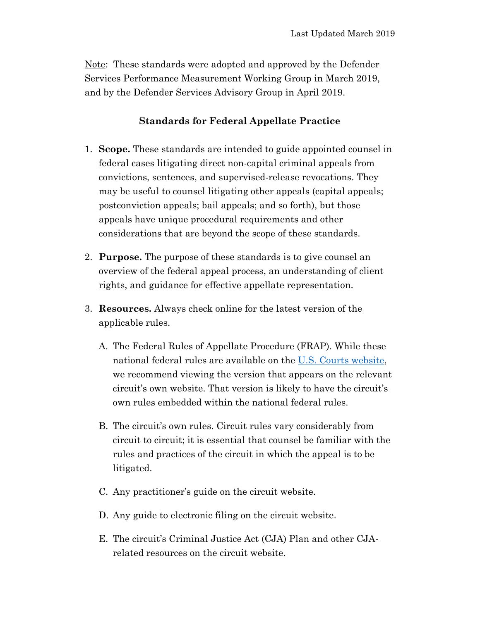Note: These standards were adopted and approved by the Defender Services Performance Measurement Working Group in March 2019, and by the Defender Services Advisory Group in April 2019.

## **Standards for Federal Appellate Practice**

- 1. **Scope.** These standards are intended to guide appointed counsel in federal cases litigating direct non-capital criminal appeals from convictions, sentences, and supervised-release revocations. They may be useful to counsel litigating other appeals (capital appeals; postconviction appeals; bail appeals; and so forth), but those appeals have unique procedural requirements and other considerations that are beyond the scope of these standards.
- 2. **Purpose.** The purpose of these standards is to give counsel an overview of the federal appeal process, an understanding of client rights, and guidance for effective appellate representation.
- 3. **Resources.** Always check online for the latest version of the applicable rules.
	- A. The Federal Rules of Appellate Procedure (FRAP). While these national federal rules are available on the [U.S. Courts website,](https://www.uscourts.gov/rules-policies/current-rules-practice-procedure) we recommend viewing the version that appears on the relevant circuit's own website. That version is likely to have the circuit's own rules embedded within the national federal rules.
	- B. The circuit's own rules. Circuit rules vary considerably from circuit to circuit; it is essential that counsel be familiar with the rules and practices of the circuit in which the appeal is to be litigated.
	- C. Any practitioner's guide on the circuit website.
	- D. Any guide to electronic filing on the circuit website.
	- E. The circuit's Criminal Justice Act (CJA) Plan and other CJArelated resources on the circuit website.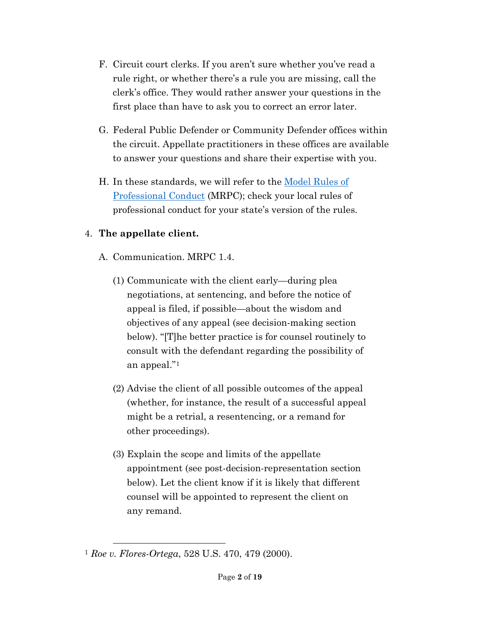- F. Circuit court clerks. If you aren't sure whether you've read a rule right, or whether there's a rule you are missing, call the clerk's office. They would rather answer your questions in the first place than have to ask you to correct an error later.
- G. Federal Public Defender or Community Defender offices within the circuit. Appellate practitioners in these offices are available to answer your questions and share their expertise with you.
- H. In these standards, we will refer to the [Model Rules of](https://www.americanbar.org/groups/professional_responsibility/publications/model_rules_of_professional_conduct/model_rules_of_professional_conduct_table_of_contents/)  [Professional Conduct](https://www.americanbar.org/groups/professional_responsibility/publications/model_rules_of_professional_conduct/model_rules_of_professional_conduct_table_of_contents/) (MRPC); check your local rules of professional conduct for your state's version of the rules.

## 4. **The appellate client.**

- A. Communication. MRPC 1.4.
	- (1) Communicate with the client early—during plea negotiations, at sentencing, and before the notice of appeal is filed, if possible—about the wisdom and objectives of any appeal (see decision-making section below). "[T]he better practice is for counsel routinely to consult with the defendant regarding the possibility of an appeal."[1](#page-1-0)
	- (2) Advise the client of all possible outcomes of the appeal (whether, for instance, the result of a successful appeal might be a retrial, a resentencing, or a remand for other proceedings).
	- (3) Explain the scope and limits of the appellate appointment (see post-decision-representation section below). Let the client know if it is likely that different counsel will be appointed to represent the client on any remand.

<span id="page-1-0"></span><sup>1</sup> *Roe v. Flores-Ortega*, 528 U.S. 470, 479 (2000).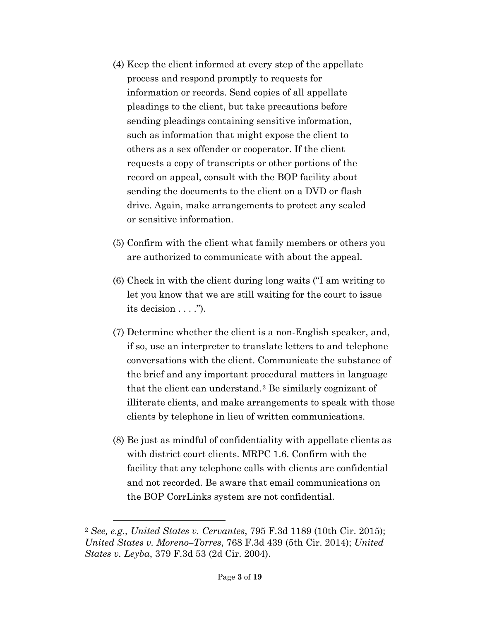- (4) Keep the client informed at every step of the appellate process and respond promptly to requests for information or records. Send copies of all appellate pleadings to the client, but take precautions before sending pleadings containing sensitive information, such as information that might expose the client to others as a sex offender or cooperator. If the client requests a copy of transcripts or other portions of the record on appeal, consult with the BOP facility about sending the documents to the client on a DVD or flash drive. Again, make arrangements to protect any sealed or sensitive information.
- (5) Confirm with the client what family members or others you are authorized to communicate with about the appeal.
- (6) Check in with the client during long waits ("I am writing to let you know that we are still waiting for the court to issue its decision  $\dots$ .").
- (7) Determine whether the client is a non-English speaker, and, if so, use an interpreter to translate letters to and telephone conversations with the client. Communicate the substance of the brief and any important procedural matters in language that the client can understand.[2](#page-2-0) Be similarly cognizant of illiterate clients, and make arrangements to speak with those clients by telephone in lieu of written communications.
- (8) Be just as mindful of confidentiality with appellate clients as with district court clients. MRPC 1.6. Confirm with the facility that any telephone calls with clients are confidential and not recorded. Be aware that email communications on the BOP CorrLinks system are not confidential.

<span id="page-2-0"></span><sup>2</sup> *See, e.g., United States v. Cervantes*, 795 F.3d 1189 (10th Cir. 2015); *United States v. Moreno–Torres*, 768 F.3d 439 (5th Cir. 2014); *United States v. Leyba*, 379 F.3d 53 (2d Cir. 2004).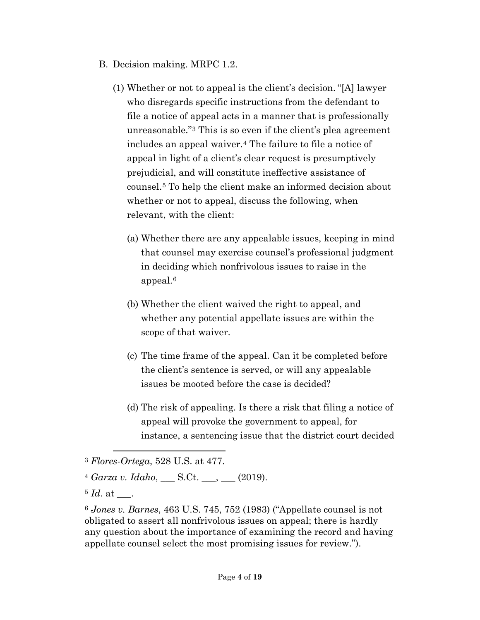- B. Decision making. MRPC 1.2.
	- (1) Whether or not to appeal is the client's decision. "[A] lawyer who disregards specific instructions from the defendant to file a notice of appeal acts in a manner that is professionally unreasonable."[3](#page-3-0) This is so even if the client's plea agreement includes an appeal waiver.[4](#page-3-1) The failure to file a notice of appeal in light of a client's clear request is presumptively prejudicial, and will constitute ineffective assistance of counsel.[5](#page-3-2) To help the client make an informed decision about whether or not to appeal, discuss the following, when relevant, with the client:
		- (a) Whether there are any appealable issues, keeping in mind that counsel may exercise counsel's professional judgment in deciding which nonfrivolous issues to raise in the appeal.[6](#page-3-3)
		- (b) Whether the client waived the right to appeal, and whether any potential appellate issues are within the scope of that waiver.
		- (c) The time frame of the appeal. Can it be completed before the client's sentence is served, or will any appealable issues be mooted before the case is decided?
		- (d) The risk of appealing. Is there a risk that filing a notice of appeal will provoke the government to appeal, for instance, a sentencing issue that the district court decided

<span id="page-3-0"></span><sup>3</sup> *Flores-Ortega*, 528 U.S. at 477.

<span id="page-3-1"></span><sup>4</sup> *Garza v. Idaho*, \_\_\_ S.Ct. \_\_\_, \_\_\_ (2019).

<span id="page-3-2"></span> $5 \, Id.$  at  $\quad .$ 

<span id="page-3-3"></span><sup>6</sup> *Jones v. Barnes*, 463 U.S. 745, 752 (1983) ("Appellate counsel is not obligated to assert all nonfrivolous issues on appeal; there is hardly any question about the importance of examining the record and having appellate counsel select the most promising issues for review.").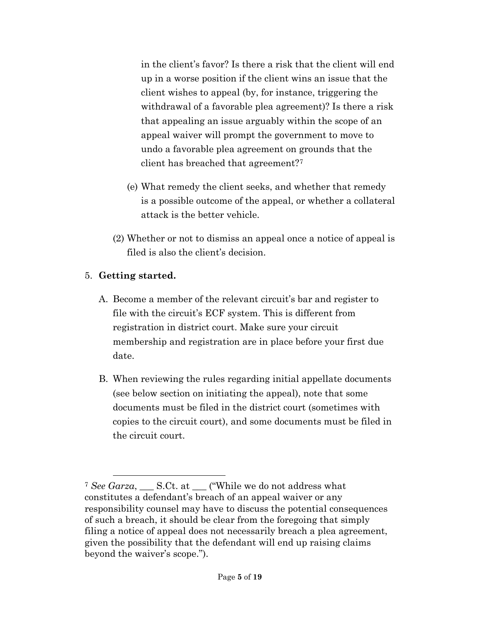in the client's favor? Is there a risk that the client will end up in a worse position if the client wins an issue that the client wishes to appeal (by, for instance, triggering the withdrawal of a favorable plea agreement)? Is there a risk that appealing an issue arguably within the scope of an appeal waiver will prompt the government to move to undo a favorable plea agreement on grounds that the client has breached that agreement?[7](#page-4-0)

- (e) What remedy the client seeks, and whether that remedy is a possible outcome of the appeal, or whether a collateral attack is the better vehicle.
- (2) Whether or not to dismiss an appeal once a notice of appeal is filed is also the client's decision.

## 5. **Getting started.**

- A. Become a member of the relevant circuit's bar and register to file with the circuit's ECF system. This is different from registration in district court. Make sure your circuit membership and registration are in place before your first due date.
- B. When reviewing the rules regarding initial appellate documents (see below section on initiating the appeal), note that some documents must be filed in the district court (sometimes with copies to the circuit court), and some documents must be filed in the circuit court.

<span id="page-4-0"></span><sup>&</sup>lt;sup>7</sup> See Garza, S.Ct. at \_\_\_ ("While we do not address what constitutes a defendant's breach of an appeal waiver or any responsibility counsel may have to discuss the potential consequences of such a breach, it should be clear from the foregoing that simply filing a notice of appeal does not necessarily breach a plea agreement, given the possibility that the defendant will end up raising claims beyond the waiver's scope.").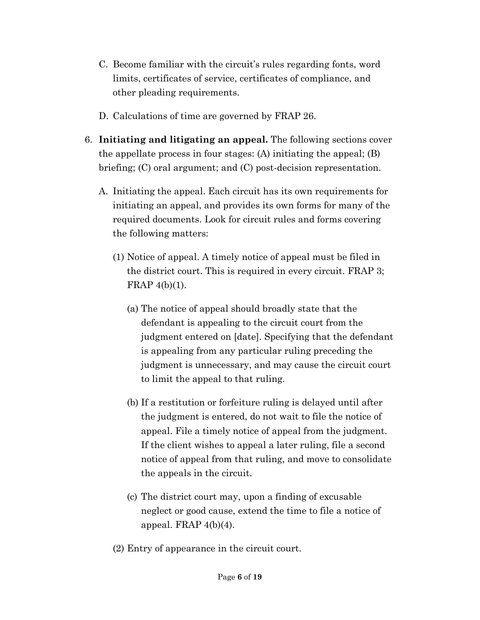- C. Become familiar with the circuit's rules regarding fonts, word limits, certificates of service, certificates of compliance, and other pleading requirements.
- D. Calculations of time are governed by FRAP 26.
- 6. **Initiating and litigating an appeal.** The following sections cover the appellate process in four stages: (A) initiating the appeal; (B) briefing; (C) oral argument; and (C) post-decision representation.
	- A. Initiating the appeal. Each circuit has its own requirements for initiating an appeal, and provides its own forms for many of the required documents. Look for circuit rules and forms covering the following matters:
		- (1) Notice of appeal. A timely notice of appeal must be filed in the district court. This is required in every circuit. FRAP 3; FRAP 4(b)(1).
			- (a) The notice of appeal should broadly state that the defendant is appealing to the circuit court from the judgment entered on [date]. Specifying that the defendant is appealing from any particular ruling preceding the judgment is unnecessary, and may cause the circuit court to limit the appeal to that ruling.
			- (b) If a restitution or forfeiture ruling is delayed until after the judgment is entered, do not wait to file the notice of appeal. File a timely notice of appeal from the judgment. If the client wishes to appeal a later ruling, file a second notice of appeal from that ruling, and move to consolidate the appeals in the circuit.
			- (c) The district court may, upon a finding of excusable neglect or good cause, extend the time to file a notice of appeal. FRAP  $4(b)(4)$ .
		- (2) Entry of appearance in the circuit court.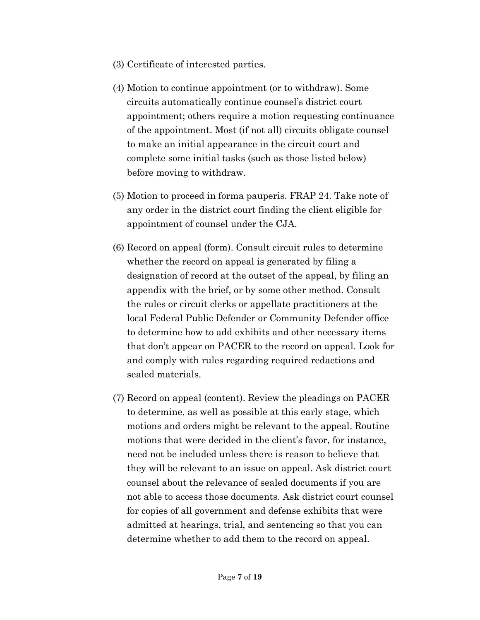- (3) Certificate of interested parties.
- (4) Motion to continue appointment (or to withdraw). Some circuits automatically continue counsel's district court appointment; others require a motion requesting continuance of the appointment. Most (if not all) circuits obligate counsel to make an initial appearance in the circuit court and complete some initial tasks (such as those listed below) before moving to withdraw.
- (5) Motion to proceed in forma pauperis. FRAP 24. Take note of any order in the district court finding the client eligible for appointment of counsel under the CJA.
- (6) Record on appeal (form). Consult circuit rules to determine whether the record on appeal is generated by filing a designation of record at the outset of the appeal, by filing an appendix with the brief, or by some other method. Consult the rules or circuit clerks or appellate practitioners at the local Federal Public Defender or Community Defender office to determine how to add exhibits and other necessary items that don't appear on PACER to the record on appeal. Look for and comply with rules regarding required redactions and sealed materials.
- (7) Record on appeal (content). Review the pleadings on PACER to determine, as well as possible at this early stage, which motions and orders might be relevant to the appeal. Routine motions that were decided in the client's favor, for instance, need not be included unless there is reason to believe that they will be relevant to an issue on appeal. Ask district court counsel about the relevance of sealed documents if you are not able to access those documents. Ask district court counsel for copies of all government and defense exhibits that were admitted at hearings, trial, and sentencing so that you can determine whether to add them to the record on appeal.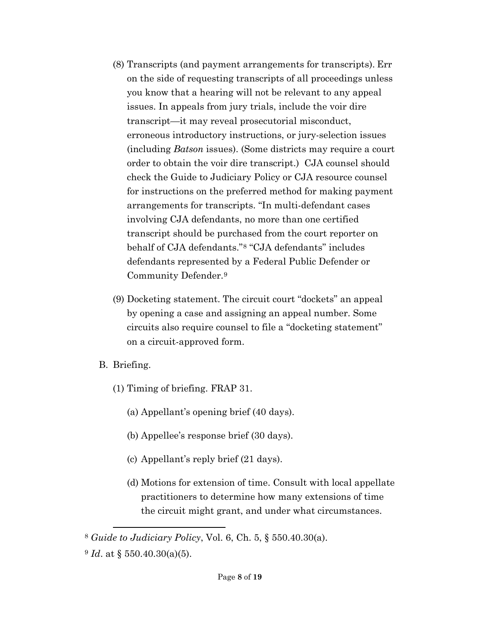- (8) Transcripts (and payment arrangements for transcripts). Err on the side of requesting transcripts of all proceedings unless you know that a hearing will not be relevant to any appeal issues. In appeals from jury trials, include the voir dire transcript—it may reveal prosecutorial misconduct, erroneous introductory instructions, or jury-selection issues (including *Batson* issues). (Some districts may require a court order to obtain the voir dire transcript.) CJA counsel should check the Guide to Judiciary Policy or CJA resource counsel for instructions on the preferred method for making payment arrangements for transcripts. "In multi-defendant cases involving CJA defendants, no more than one certified transcript should be purchased from the court reporter on behalf of CJA defendants."[8](#page-7-0) "CJA defendants" includes defendants represented by a Federal Public Defender or Community Defender.[9](#page-7-1)
- (9) Docketing statement. The circuit court "dockets" an appeal by opening a case and assigning an appeal number. Some circuits also require counsel to file a "docketing statement" on a circuit-approved form.
- B. Briefing.
	- (1) Timing of briefing. FRAP 31.
		- (a) Appellant's opening brief (40 days).
		- (b) Appellee's response brief (30 days).
		- (c) Appellant's reply brief (21 days).
		- (d) Motions for extension of time. Consult with local appellate practitioners to determine how many extensions of time the circuit might grant, and under what circumstances.

<span id="page-7-0"></span><sup>8</sup> *Guide to Judiciary Policy*, Vol. 6, Ch. 5, § 550.40.30(a).

<span id="page-7-1"></span><sup>9</sup> *Id*. at § 550.40.30(a)(5).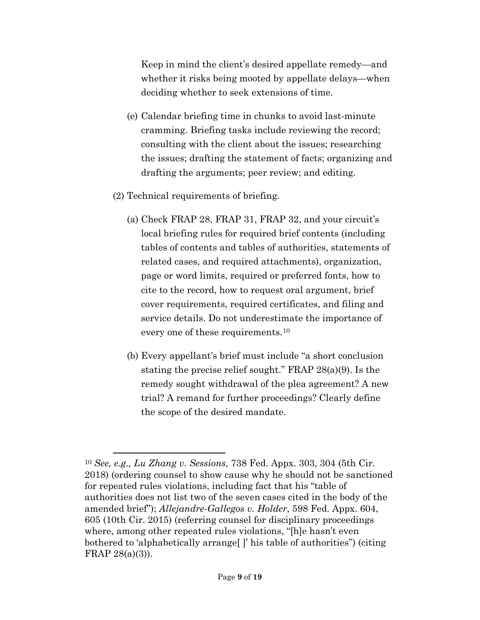Keep in mind the client's desired appellate remedy—and whether it risks being mooted by appellate delays—when deciding whether to seek extensions of time.

- (e) Calendar briefing time in chunks to avoid last-minute cramming. Briefing tasks include reviewing the record; consulting with the client about the issues; researching the issues; drafting the statement of facts; organizing and drafting the arguments; peer review; and editing.
- (2) Technical requirements of briefing.

- (a) Check FRAP 28, FRAP 31, FRAP 32, and your circuit's local briefing rules for required brief contents (including tables of contents and tables of authorities, statements of related cases, and required attachments), organization, page or word limits, required or preferred fonts, how to cite to the record, how to request oral argument, brief cover requirements, required certificates, and filing and service details. Do not underestimate the importance of every one of these requirements.[10](#page-8-0)
- (b) Every appellant's brief must include "a short conclusion stating the precise relief sought." FRAP 28(a)(9). Is the remedy sought withdrawal of the plea agreement? A new trial? A remand for further proceedings? Clearly define the scope of the desired mandate.

<span id="page-8-0"></span><sup>10</sup> *See, e.g., Lu Zhang v. Sessions*, 738 Fed. Appx. 303, 304 (5th Cir. 2018) (ordering counsel to show cause why he should not be sanctioned for repeated rules violations, including fact that his "table of authorities does not list two of the seven cases cited in the body of the amended brief"); *Allejandre-Gallegos v. Holder*, 598 Fed. Appx. 604, 605 (10th Cir. 2015) (referring counsel for disciplinary proceedings where, among other repeated rules violations, "[h]e hasn't even bothered to 'alphabetically arrange[ ]' his table of authorities") (citing FRAP 28(a)(3)).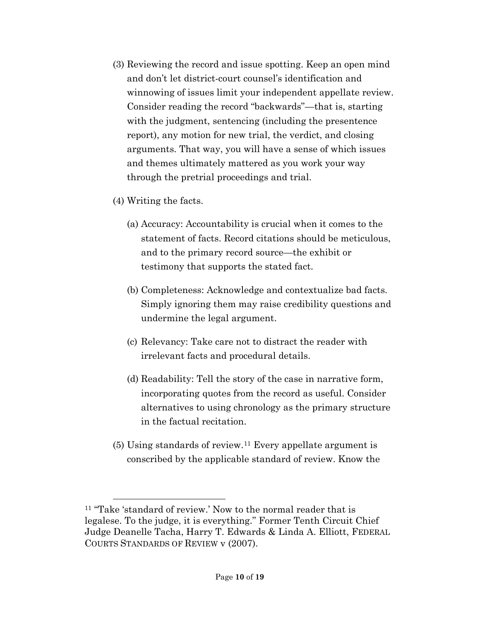- (3) Reviewing the record and issue spotting. Keep an open mind and don't let district-court counsel's identification and winnowing of issues limit your independent appellate review. Consider reading the record "backwards"—that is, starting with the judgment, sentencing (including the presentence report), any motion for new trial, the verdict, and closing arguments. That way, you will have a sense of which issues and themes ultimately mattered as you work your way through the pretrial proceedings and trial.
- (4) Writing the facts.

l

- (a) Accuracy: Accountability is crucial when it comes to the statement of facts. Record citations should be meticulous, and to the primary record source—the exhibit or testimony that supports the stated fact.
- (b) Completeness: Acknowledge and contextualize bad facts. Simply ignoring them may raise credibility questions and undermine the legal argument.
- (c) Relevancy: Take care not to distract the reader with irrelevant facts and procedural details.
- (d) Readability: Tell the story of the case in narrative form, incorporating quotes from the record as useful. Consider alternatives to using chronology as the primary structure in the factual recitation.
- (5) Using standards of review.[11](#page-9-0) Every appellate argument is conscribed by the applicable standard of review. Know the

<span id="page-9-0"></span><sup>11</sup> "Take 'standard of review.' Now to the normal reader that is legalese. To the judge, it is everything." Former Tenth Circuit Chief Judge Deanelle Tacha, Harry T. Edwards & Linda A. Elliott, FEDERAL COURTS STANDARDS OF REVIEW v (2007).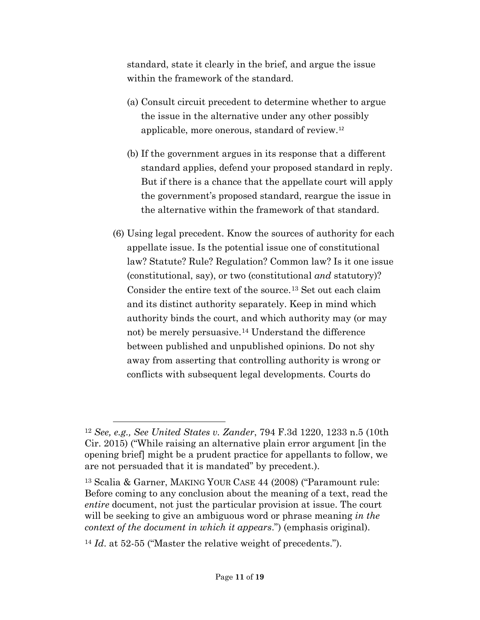standard, state it clearly in the brief, and argue the issue within the framework of the standard.

- (a) Consult circuit precedent to determine whether to argue the issue in the alternative under any other possibly applicable, more onerous, standard of review.[12](#page-10-0)
- (b) If the government argues in its response that a different standard applies, defend your proposed standard in reply. But if there is a chance that the appellate court will apply the government's proposed standard, reargue the issue in the alternative within the framework of that standard.
- (6) Using legal precedent. Know the sources of authority for each appellate issue. Is the potential issue one of constitutional law? Statute? Rule? Regulation? Common law? Is it one issue (constitutional, say), or two (constitutional *and* statutory)? Consider the entire text of the source.[13](#page-10-1) Set out each claim and its distinct authority separately. Keep in mind which authority binds the court, and which authority may (or may not) be merely persuasive.[14](#page-10-2) Understand the difference between published and unpublished opinions. Do not shy away from asserting that controlling authority is wrong or conflicts with subsequent legal developments. Courts do

<span id="page-10-0"></span><sup>12</sup> *See, e.g., See United States v. Zander*, 794 F.3d 1220, 1233 n.5 (10th Cir. 2015) ("While raising an alternative plain error argument [in the opening brief] might be a prudent practice for appellants to follow, we are not persuaded that it is mandated" by precedent.).

<span id="page-10-1"></span><sup>13</sup> Scalia & Garner, MAKING YOUR CASE 44 (2008) ("Paramount rule: Before coming to any conclusion about the meaning of a text, read the *entire* document, not just the particular provision at issue. The court will be seeking to give an ambiguous word or phrase meaning *in the context of the document in which it appears*.") (emphasis original).

<span id="page-10-2"></span><sup>14</sup> *Id*. at 52-55 ("Master the relative weight of precedents.").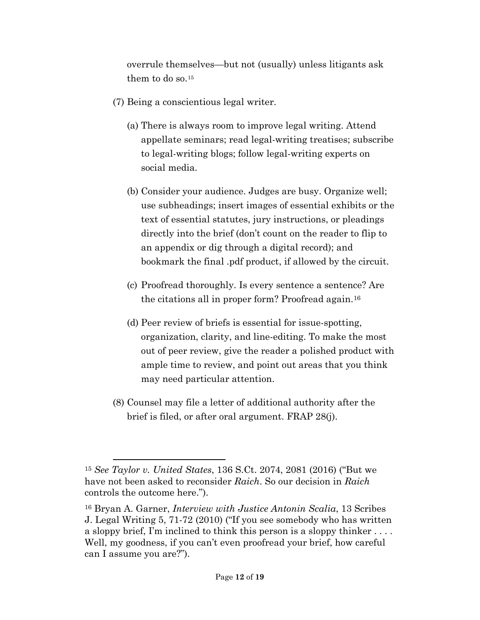overrule themselves—but not (usually) unless litigants ask them to do so.[15](#page-11-0)

- (7) Being a conscientious legal writer.
	- (a) There is always room to improve legal writing. Attend appellate seminars; read legal-writing treatises; subscribe to legal-writing blogs; follow legal-writing experts on social media.
	- (b) Consider your audience. Judges are busy. Organize well; use subheadings; insert images of essential exhibits or the text of essential statutes, jury instructions, or pleadings directly into the brief (don't count on the reader to flip to an appendix or dig through a digital record); and bookmark the final .pdf product, if allowed by the circuit.
	- (c) Proofread thoroughly. Is every sentence a sentence? Are the citations all in proper form? Proofread again.[16](#page-11-1)
	- (d) Peer review of briefs is essential for issue-spotting, organization, clarity, and line-editing. To make the most out of peer review, give the reader a polished product with ample time to review, and point out areas that you think may need particular attention.
- (8) Counsel may file a letter of additional authority after the brief is filed, or after oral argument. FRAP 28(j).

l

<span id="page-11-0"></span><sup>15</sup> *See Taylor v. United States*, 136 S.Ct. 2074, 2081 (2016) ("But we have not been asked to reconsider *Raich*. So our decision in *Raich* controls the outcome here.").

<span id="page-11-1"></span><sup>16</sup> Bryan A. Garner, *Interview with Justice Antonin Scalia*, 13 Scribes J. Legal Writing 5, 71-72 (2010) ("If you see somebody who has written a sloppy brief, I'm inclined to think this person is a sloppy thinker . . . . Well, my goodness, if you can't even proofread your brief, how careful can I assume you are?").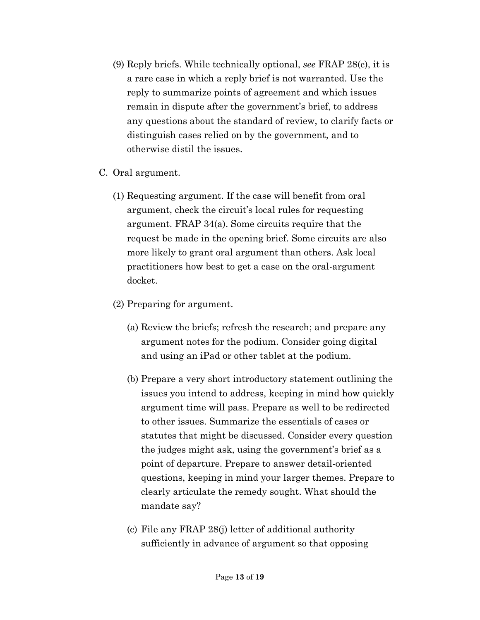- (9) Reply briefs. While technically optional, *see* FRAP 28(c), it is a rare case in which a reply brief is not warranted. Use the reply to summarize points of agreement and which issues remain in dispute after the government's brief, to address any questions about the standard of review, to clarify facts or distinguish cases relied on by the government, and to otherwise distil the issues.
- C. Oral argument.
	- (1) Requesting argument. If the case will benefit from oral argument, check the circuit's local rules for requesting argument. FRAP 34(a). Some circuits require that the request be made in the opening brief. Some circuits are also more likely to grant oral argument than others. Ask local practitioners how best to get a case on the oral-argument docket.
	- (2) Preparing for argument.
		- (a) Review the briefs; refresh the research; and prepare any argument notes for the podium. Consider going digital and using an iPad or other tablet at the podium.
		- (b) Prepare a very short introductory statement outlining the issues you intend to address, keeping in mind how quickly argument time will pass. Prepare as well to be redirected to other issues. Summarize the essentials of cases or statutes that might be discussed. Consider every question the judges might ask, using the government's brief as a point of departure. Prepare to answer detail-oriented questions, keeping in mind your larger themes. Prepare to clearly articulate the remedy sought. What should the mandate say?
		- (c) File any FRAP 28(j) letter of additional authority sufficiently in advance of argument so that opposing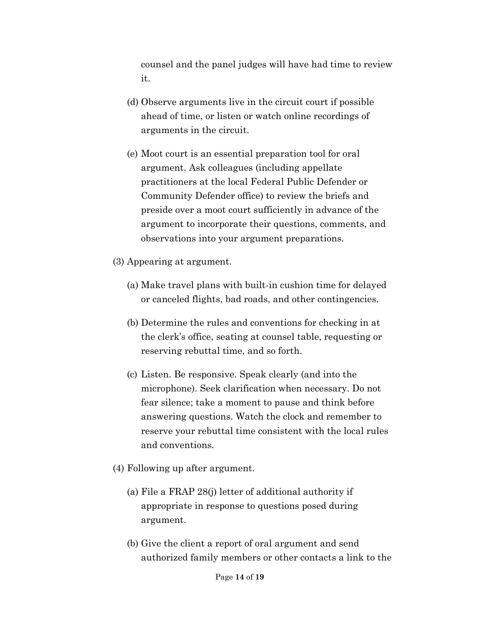counsel and the panel judges will have had time to review it.

- (d) Observe arguments live in the circuit court if possible ahead of time, or listen or watch online recordings of arguments in the circuit.
- (e) Moot court is an essential preparation tool for oral argument. Ask colleagues (including appellate practitioners at the local Federal Public Defender or Community Defender office) to review the briefs and preside over a moot court sufficiently in advance of the argument to incorporate their questions, comments, and observations into your argument preparations.
- (3) Appearing at argument.
	- (a) Make travel plans with built-in cushion time for delayed or canceled flights, bad roads, and other contingencies.
	- (b) Determine the rules and conventions for checking in at the clerk's office, seating at counsel table, requesting or reserving rebuttal time, and so forth.
	- (c) Listen. Be responsive. Speak clearly (and into the microphone). Seek clarification when necessary. Do not fear silence; take a moment to pause and think before answering questions. Watch the clock and remember to reserve your rebuttal time consistent with the local rules and conventions.
- (4) Following up after argument.
	- (a) File a FRAP 28(j) letter of additional authority if appropriate in response to questions posed during argument.
	- (b) Give the client a report of oral argument and send authorized family members or other contacts a link to the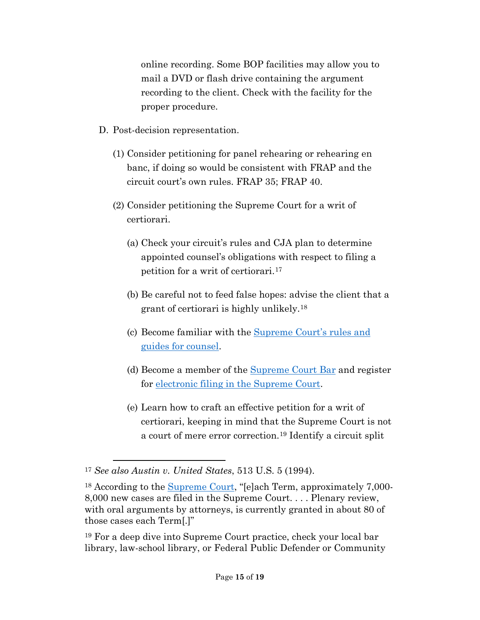online recording. Some BOP facilities may allow you to mail a DVD or flash drive containing the argument recording to the client. Check with the facility for the proper procedure.

- D. Post-decision representation.
	- (1) Consider petitioning for panel rehearing or rehearing en banc, if doing so would be consistent with FRAP and the circuit court's own rules. FRAP 35; FRAP 40.
	- (2) Consider petitioning the Supreme Court for a writ of certiorari.
		- (a) Check your circuit's rules and CJA plan to determine appointed counsel's obligations with respect to filing a petition for a writ of certiorari.[17](#page-14-0)
		- (b) Be careful not to feed false hopes: advise the client that a grant of certiorari is highly unlikely.[18](#page-14-1)
		- (c) Become familiar with the [Supreme Court's](https://www.supremecourt.gov/filingandrules/rules_guidance.aspx) rules and [guides for counsel.](https://www.supremecourt.gov/filingandrules/rules_guidance.aspx)
		- (d) Become a member of the [Supreme Court Bar](https://www.supremecourt.gov/filingandrules/supremecourtbar.aspx) and register for [electronic filing in the Supreme Court.](https://www.supremecourt.gov/filingandrules/electronicfiling.aspx)
		- (e) Learn how to craft an effective petition for a writ of certiorari, keeping in mind that the Supreme Court is not a court of mere error correction.[19](#page-14-2) Identify a circuit split

l

<span id="page-14-0"></span><sup>17</sup> *See also Austin v. United States*, 513 U.S. 5 (1994).

<span id="page-14-1"></span><sup>&</sup>lt;sup>18</sup> According to the **Supreme Court**, "[e]ach Term, approximately 7,000-8,000 new cases are filed in the Supreme Court. . . . Plenary review, with oral arguments by attorneys, is currently granted in about 80 of those cases each Term[.]"

<span id="page-14-2"></span><sup>19</sup> For a deep dive into Supreme Court practice, check your local bar library, law-school library, or Federal Public Defender or Community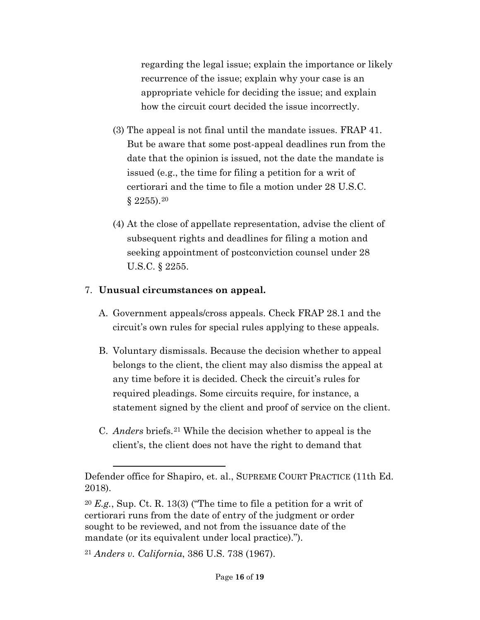regarding the legal issue; explain the importance or likely recurrence of the issue; explain why your case is an appropriate vehicle for deciding the issue; and explain how the circuit court decided the issue incorrectly.

- (3) The appeal is not final until the mandate issues. FRAP 41. But be aware that some post-appeal deadlines run from the date that the opinion is issued, not the date the mandate is issued (e.g., the time for filing a petition for a writ of certiorari and the time to file a motion under 28 U.S.C.  $§ 2255$ ).<sup>[20](#page-15-0)</sup>
- (4) At the close of appellate representation, advise the client of subsequent rights and deadlines for filing a motion and seeking appointment of postconviction counsel under 28 U.S.C. § 2255.

## 7. **Unusual circumstances on appeal.**

- A. Government appeals/cross appeals. Check FRAP 28.1 and the circuit's own rules for special rules applying to these appeals.
- B. Voluntary dismissals. Because the decision whether to appeal belongs to the client, the client may also dismiss the appeal at any time before it is decided. Check the circuit's rules for required pleadings. Some circuits require, for instance, a statement signed by the client and proof of service on the client.
- C. *Anders* briefs.[21](#page-15-1) While the decision whether to appeal is the client's, the client does not have the right to demand that

<span id="page-15-1"></span><sup>21</sup> *Anders v. California*, 386 U.S. 738 (1967).

Defender office for Shapiro, et. al., SUPREME COURT PRACTICE (11th Ed. 2018).

<span id="page-15-0"></span><sup>20</sup> *E.g.*, Sup. Ct. R. 13(3) ("The time to file a petition for a writ of certiorari runs from the date of entry of the judgment or order sought to be reviewed, and not from the issuance date of the mandate (or its equivalent under local practice).").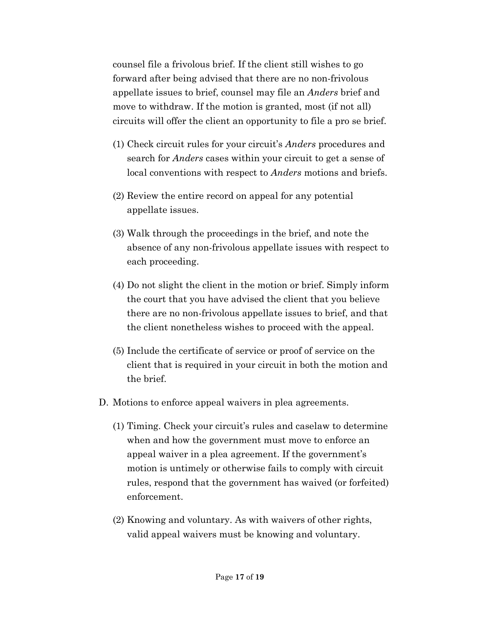counsel file a frivolous brief. If the client still wishes to go forward after being advised that there are no non-frivolous appellate issues to brief, counsel may file an *Anders* brief and move to withdraw. If the motion is granted, most (if not all) circuits will offer the client an opportunity to file a pro se brief.

- (1) Check circuit rules for your circuit's *Anders* procedures and search for *Anders* cases within your circuit to get a sense of local conventions with respect to *Anders* motions and briefs.
- (2) Review the entire record on appeal for any potential appellate issues.
- (3) Walk through the proceedings in the brief, and note the absence of any non-frivolous appellate issues with respect to each proceeding.
- (4) Do not slight the client in the motion or brief. Simply inform the court that you have advised the client that you believe there are no non-frivolous appellate issues to brief, and that the client nonetheless wishes to proceed with the appeal.
- (5) Include the certificate of service or proof of service on the client that is required in your circuit in both the motion and the brief.
- D. Motions to enforce appeal waivers in plea agreements.
	- (1) Timing. Check your circuit's rules and caselaw to determine when and how the government must move to enforce an appeal waiver in a plea agreement. If the government's motion is untimely or otherwise fails to comply with circuit rules, respond that the government has waived (or forfeited) enforcement.
	- (2) Knowing and voluntary. As with waivers of other rights, valid appeal waivers must be knowing and voluntary.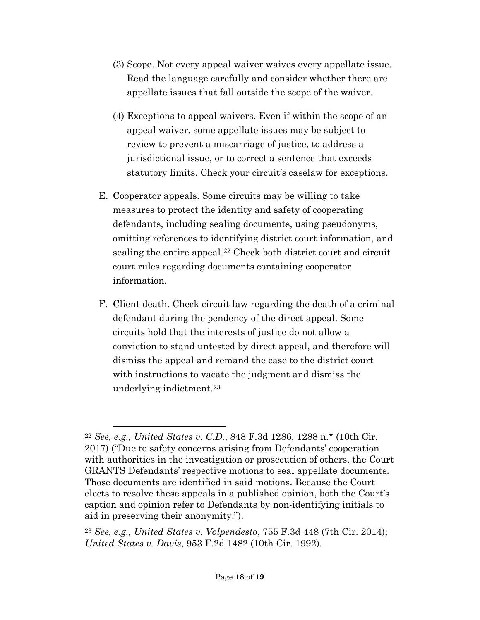- (3) Scope. Not every appeal waiver waives every appellate issue. Read the language carefully and consider whether there are appellate issues that fall outside the scope of the waiver.
- (4) Exceptions to appeal waivers. Even if within the scope of an appeal waiver, some appellate issues may be subject to review to prevent a miscarriage of justice, to address a jurisdictional issue, or to correct a sentence that exceeds statutory limits. Check your circuit's caselaw for exceptions.
- E. Cooperator appeals. Some circuits may be willing to take measures to protect the identity and safety of cooperating defendants, including sealing documents, using pseudonyms, omitting references to identifying district court information, and sealing the entire appeal.<sup>[22](#page-17-0)</sup> Check both district court and circuit court rules regarding documents containing cooperator information.
- F. Client death. Check circuit law regarding the death of a criminal defendant during the pendency of the direct appeal. Some circuits hold that the interests of justice do not allow a conviction to stand untested by direct appeal, and therefore will dismiss the appeal and remand the case to the district court with instructions to vacate the judgment and dismiss the underlying indictment.[23](#page-17-1)

<span id="page-17-0"></span><sup>22</sup> *See, e.g., United States v. C.D.*, 848 F.3d 1286, 1288 n.\* (10th Cir. 2017) ("Due to safety concerns arising from Defendants' cooperation with authorities in the investigation or prosecution of others, the Court GRANTS Defendants' respective motions to seal appellate documents. Those documents are identified in said motions. Because the Court elects to resolve these appeals in a published opinion, both the Court's caption and opinion refer to Defendants by non-identifying initials to aid in preserving their anonymity.").

<span id="page-17-1"></span><sup>23</sup> *See, e.g., United States v. Volpendesto*, 755 F.3d 448 (7th Cir. 2014); *United States v. Davis*, 953 F.2d 1482 (10th Cir. 1992).